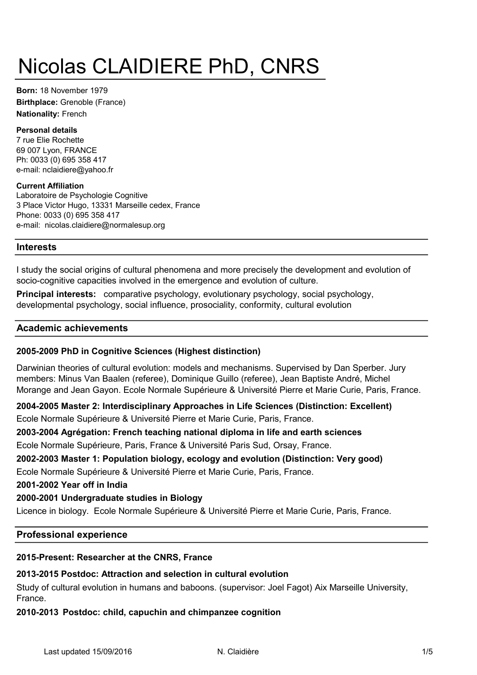# Nicolas CLAIDIERE PhD, CNRS

Nationality: French Born: 18 November 1979 Birthplace: Grenoble (France)

#### Personal details

69 007 Lyon, FRANCE 7 rue Elie Rochette e-mail: nclaidiere@yahoo.fr Ph: 0033 (0) 695 358 417

#### Current Affiliation

Laboratoire de Psychologie Cognitive 3 Place Victor Hugo, 13331 Marseille cedex, France Phone: 0033 (0) 695 358 417 e-mail: nicolas.claidiere@normalesup.org

# Interests

I study the social origins of cultural phenomena and more precisely the development and evolution of socio-cognitive capacities involved in the emergence and evolution of culture.

Principal interests: comparative psychology, evolutionary psychology, social psychology, developmental psychology, social influence, prosociality, conformity, cultural evolution

## Academic achievements

# 2005-2009 PhD in Cognitive Sciences (Highest distinction)

Darwinian theories of cultural evolution: models and mechanisms. Supervised by Dan Sperber. Jury members: Minus Van Baalen (referee), Dominique Guillo (referee), Jean Baptiste André, Michel Morange and Jean Gayon. Ecole Normale Supérieure & Université Pierre et Marie Curie, Paris, France.

Ecole Normale Supérieure & Université Pierre et Marie Curie, Paris, France. 2004-2005 Master 2: Interdisciplinary Approaches in Life Sciences (Distinction: Excellent)

## 2003-2004 Agrégation: French teaching national diploma in life and earth sciences

Ecole Normale Supérieure, Paris, France & Université Paris Sud, Orsay, France.

## 2002-2003 Master 1: Population biology, ecology and evolution (Distinction: Very good)

Ecole Normale Supérieure & Université Pierre et Marie Curie, Paris, France.

2001-2002 Year off in India

## 2000-2001 Undergraduate studies in Biology

Licence in biology. Ecole Normale Supérieure & Université Pierre et Marie Curie, Paris, France.

## Professional experience

## 2015-Present: Researcher at the CNRS, France

# 2013-2015 Postdoc: Attraction and selection in cultural evolution

Study of cultural evolution in humans and baboons. (supervisor: Joel Fagot) Aix Marseille University, France.

# 2010-2013 Postdoc: child, capuchin and chimpanzee cognition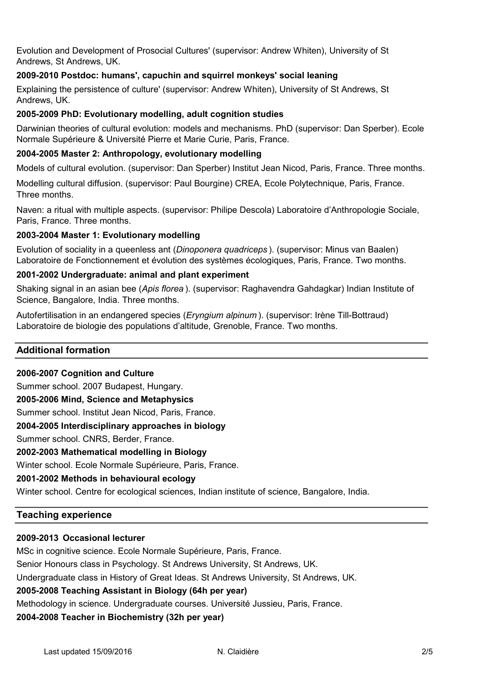Evolution and Development of Prosocial Cultures' (supervisor: Andrew Whiten), University of St Andrews, St Andrews, UK.

# 2009-2010 Postdoc: humans', capuchin and squirrel monkeys' social leaning

Explaining the persistence of culture' (supervisor: Andrew Whiten), University of St Andrews, St Andrews, UK.

## 2005-2009 PhD: Evolutionary modelling, adult cognition studies

Darwinian theories of cultural evolution: models and mechanisms. PhD (supervisor: Dan Sperber). Ecole Normale Supérieure & Université Pierre et Marie Curie, Paris, France.

## 2004-2005 Master 2: Anthropology, evolutionary modelling

Models of cultural evolution. (supervisor: Dan Sperber) Institut Jean Nicod, Paris, France. Three months.

Modelling cultural diffusion. (supervisor: Paul Bourgine) CREA, Ecole Polytechnique, Paris, France. Three months.

Naven: a ritual with multiple aspects. (supervisor: Philipe Descola) Laboratoire d'Anthropologie Sociale, Paris, France. Three months.

## 2003-2004 Master 1: Evolutionary modelling

Evolution of sociality in a queenless ant (Dinoponera quadriceps ). (supervisor: Minus van Baalen) Laboratoire de Fonctionnement et évolution des systèmes écologiques, Paris, France. Two months.

#### 2001-2002 Undergraduate: animal and plant experiment

Shaking signal in an asian bee (Apis florea ). (supervisor: Raghavendra Gahdagkar) Indian Institute of Science, Bangalore, India. Three months.

Autofertilisation in an endangered species (Eryngium alpinum ). (supervisor: Irène Till-Bottraud) Laboratoire de biologie des populations d'altitude, Grenoble, France. Two months.

## Additional formation

#### 2006-2007 Cognition and Culture

Summer school. 2007 Budapest, Hungary.

#### 2005-2006 Mind, Science and Metaphysics

Summer school. Institut Jean Nicod, Paris, France.

#### 2004-2005 Interdisciplinary approaches in biology

Summer school. CNRS, Berder, France.

## 2002-2003 Mathematical modelling in Biology

Winter school. Ecole Normale Supérieure, Paris, France.

# 2001-2002 Methods in behavioural ecology

Winter school. Centre for ecological sciences, Indian institute of science, Bangalore, India.

# Teaching experience

# 2009-2013 Occasional lecturer

MSc in cognitive science. Ecole Normale Supérieure, Paris, France.

Senior Honours class in Psychology. St Andrews University, St Andrews, UK.

Undergraduate class in History of Great Ideas. St Andrews University, St Andrews, UK.

# 2005-2008 Teaching Assistant in Biology (64h per year)

Methodology in science. Undergraduate courses. Université Jussieu, Paris, France.

2004-2008 Teacher in Biochemistry (32h per year)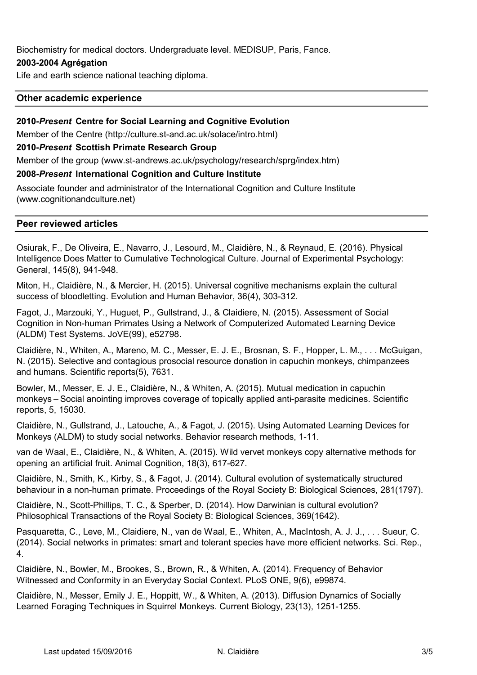Biochemistry for medical doctors. Undergraduate level. MEDISUP, Paris, Fance.

## 2003-2004 Agrégation

Life and earth science national teaching diploma.

#### Other academic experience

#### 2010-Present Centre for Social Learning and Cognitive Evolution

Member of the Centre (http://culture.st-and.ac.uk/solace/intro.html)

#### 2010-Present Scottish Primate Research Group

Member of the group (www.st-andrews.ac.uk/psychology/research/sprg/index.htm)

#### 2008-Present International Cognition and Culture Institute

Associate founder and administrator of the International Cognition and Culture Institute (www.cognitionandculture.net)

#### Peer reviewed articles

Osiurak, F., De Oliveira, E., Navarro, J., Lesourd, M., Claidière, N., & Reynaud, E. (2016). Physical Intelligence Does Matter to Cumulative Technological Culture. Journal of Experimental Psychology: General, 145(8), 941-948.

Miton, H., Claidière, N., & Mercier, H. (2015). Universal cognitive mechanisms explain the cultural success of bloodletting. Evolution and Human Behavior, 36(4), 303-312.

Fagot, J., Marzouki, Y., Huguet, P., Gullstrand, J., & Claidiere, N. (2015). Assessment of Social Cognition in Non-human Primates Using a Network of Computerized Automated Learning Device (ALDM) Test Systems. JoVE(99), e52798.

Claidière, N., Whiten, A., Mareno, M. C., Messer, E. J. E., Brosnan, S. F., Hopper, L. M., . . . McGuigan, N. (2015). Selective and contagious prosocial resource donation in capuchin monkeys, chimpanzees and humans. Scientific reports(5), 7631.

Bowler, M., Messer, E. J. E., Claidière, N., & Whiten, A. (2015). Mutual medication in capuchin monkeys – Social anointing improves coverage of topically applied anti-parasite medicines. Scientific reports, 5, 15030.

Claidière, N., Gullstrand, J., Latouche, A., & Fagot, J. (2015). Using Automated Learning Devices for Monkeys (ALDM) to study social networks. Behavior research methods, 1-11.

van de Waal, E., Claidière, N., & Whiten, A. (2015). Wild vervet monkeys copy alternative methods for opening an artificial fruit. Animal Cognition, 18(3), 617-627.

Claidière, N., Smith, K., Kirby, S., & Fagot, J. (2014). Cultural evolution of systematically structured behaviour in a non-human primate. Proceedings of the Royal Society B: Biological Sciences, 281(1797).

Claidière, N., Scott-Phillips, T. C., & Sperber, D. (2014). How Darwinian is cultural evolution? Philosophical Transactions of the Royal Society B: Biological Sciences, 369(1642).

Pasquaretta, C., Leve, M., Claidiere, N., van de Waal, E., Whiten, A., MacIntosh, A. J. J., . . . Sueur, C. (2014). Social networks in primates: smart and tolerant species have more efficient networks. Sci. Rep., 4.

Claidière, N., Bowler, M., Brookes, S., Brown, R., & Whiten, A. (2014). Frequency of Behavior Witnessed and Conformity in an Everyday Social Context. PLoS ONE, 9(6), e99874.

Claidière, N., Messer, Emily J. E., Hoppitt, W., & Whiten, A. (2013). Diffusion Dynamics of Socially Learned Foraging Techniques in Squirrel Monkeys. Current Biology, 23(13), 1251-1255.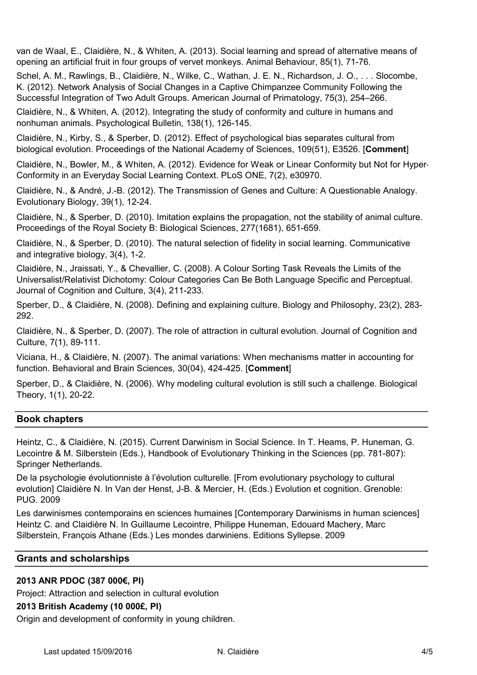van de Waal, E., Claidière, N., & Whiten, A. (2013). Social learning and spread of alternative means of opening an artificial fruit in four groups of vervet monkeys. Animal Behaviour, 85(1), 71-76.

Schel, A. M., Rawlings, B., Claidière, N., Wilke, C., Wathan, J. E. N., Richardson, J. O., . . . Slocombe, K. (2012). Network Analysis of Social Changes in a Captive Chimpanzee Community Following the Successful Integration of Two Adult Groups. American Journal of Primatology, 75(3), 254–266.

Claidière, N., & Whiten, A. (2012). Integrating the study of conformity and culture in humans and nonhuman animals. Psychological Bulletin, 138(1), 126-145.

Claidière, N., Kirby, S., & Sperber, D. (2012). Effect of psychological bias separates cultural from biological evolution. Proceedings of the National Academy of Sciences, 109(51), E3526. [Comment]

Claidière, N., Bowler, M., & Whiten, A. (2012). Evidence for Weak or Linear Conformity but Not for Hyper-Conformity in an Everyday Social Learning Context. PLoS ONE, 7(2), e30970.

Claidière, N., & André, J.-B. (2012). The Transmission of Genes and Culture: A Questionable Analogy. Evolutionary Biology, 39(1), 12-24.

Claidière, N., & Sperber, D. (2010). Imitation explains the propagation, not the stability of animal culture. Proceedings of the Royal Society B: Biological Sciences, 277(1681), 651-659.

Claidière, N., & Sperber, D. (2010). The natural selection of fidelity in social learning. Communicative and integrative biology, 3(4), 1-2.

Claidière, N., Jraissati, Y., & Chevallier, C. (2008). A Colour Sorting Task Reveals the Limits of the Universalist/Relativist Dichotomy: Colour Categories Can Be Both Language Specific and Perceptual. Journal of Cognition and Culture, 3(4), 211-233.

Sperber, D., & Claidière, N. (2008). Defining and explaining culture. Biology and Philosophy, 23(2), 283- 292.

Claidière, N., & Sperber, D. (2007). The role of attraction in cultural evolution. Journal of Cognition and Culture, 7(1), 89-111.

Viciana, H., & Claidière, N. (2007). The animal variations: When mechanisms matter in accounting for function. Behavioral and Brain Sciences, 30(04), 424-425. [Comment]

Sperber, D., & Claidière, N. (2006). Why modeling cultural evolution is still such a challenge. Biological Theory, 1(1), 20-22.

## Book chapters

Heintz, C., & Claidière, N. (2015). Current Darwinism in Social Science. In T. Heams, P. Huneman, G. Lecointre & M. Silberstein (Eds.), Handbook of Evolutionary Thinking in the Sciences (pp. 781-807): Springer Netherlands.

De la psychologie évolutionniste à l'évolution culturelle. [From evolutionary psychology to cultural evolution] Claidière N. In Van der Henst, J-B. & Mercier, H. (Eds.) Evolution et cognition. Grenoble: PUG. 2009

Les darwinismes contemporains en sciences humaines [Contemporary Darwinisms in human sciences] Heintz C. and Claidière N. In Guillaume Lecointre, Philippe Huneman, Edouard Machery, Marc Silberstein, François Athane (Eds.) Les mondes darwiniens. Editions Syllepse. 2009

## Grants and scholarships

## 2013 ANR PDOC (387 000€, PI)

Project: Attraction and selection in cultural evolution

## 2013 British Academy (10 000£, PI)

Origin and development of conformity in young children.